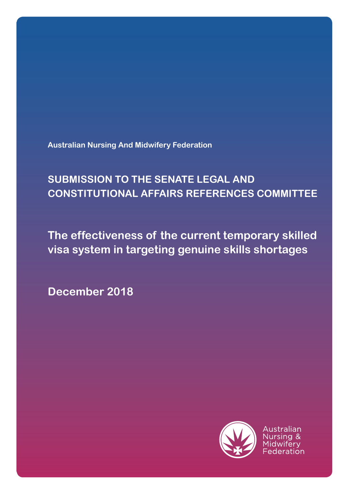**Australian Nursing And Midwifery Federation**

# **SUBMISSION TO THE SENATE LEGAL AND CONSTITUTIONAL AFFAIRS REFERENCES COMMITTEE**

**The effectiveness of the current temporary skilled visa system in targeting genuine skills shortages**

**December 2018**

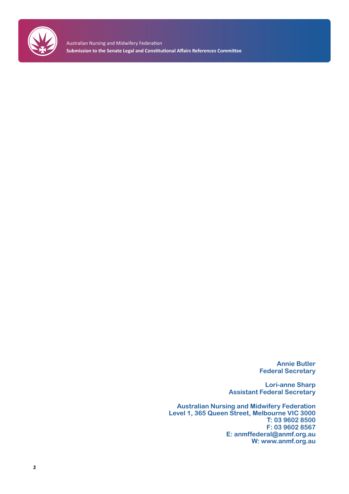

Australian Nursing and Midwifery Federation **Submission to the Senate Legal and Constitutional Affairs References Committee**

> **Annie Butler Federal Secretary**

**Lori-anne Sharp Assistant Federal Secretary**

**Australian Nursing and Midwifery Federation Level 1, 365 Queen Street, Melbourne VIC 3000 T: 03 9602 8500 F: 03 9602 8567 E: anmffederal@anmf.org.au W: www.anmf.org.au**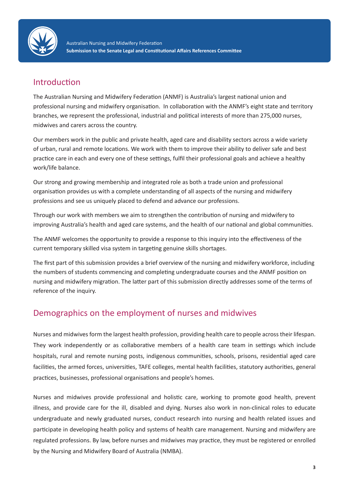

### Introduction

The Australian Nursing and Midwifery Federation (ANMF) is Australia's largest national union and professional nursing and midwifery organisation. In collaboration with the ANMF's eight state and territory branches, we represent the professional, industrial and political interests of more than 275,000 nurses, midwives and carers across the country.

Our members work in the public and private health, aged care and disability sectors across a wide variety of urban, rural and remote locations. We work with them to improve their ability to deliver safe and best practice care in each and every one of these settings, fulfil their professional goals and achieve a healthy work/life balance.

Our strong and growing membership and integrated role as both a trade union and professional organisation provides us with a complete understanding of all aspects of the nursing and midwifery professions and see us uniquely placed to defend and advance our professions.

Through our work with members we aim to strengthen the contribution of nursing and midwifery to improving Australia's health and aged care systems, and the health of our national and global communities.

The ANMF welcomes the opportunity to provide a response to this inquiry into the effectiveness of the current temporary skilled visa system in targeting genuine skills shortages.

The first part of this submission provides a brief overview of the nursing and midwifery workforce, including the numbers of students commencing and completing undergraduate courses and the ANMF position on nursing and midwifery migration. The latter part of this submission directly addresses some of the terms of reference of the inquiry.

### Demographics on the employment of nurses and midwives

Nurses and midwives form the largest health profession, providing health care to people across their lifespan. They work independently or as collaborative members of a health care team in settings which include hospitals, rural and remote nursing posts, indigenous communities, schools, prisons, residential aged care facilities, the armed forces, universities, TAFE colleges, mental health facilities, statutory authorities, general practices, businesses, professional organisations and people's homes.

Nurses and midwives provide professional and holistic care, working to promote good health, prevent illness, and provide care for the ill, disabled and dying. Nurses also work in non-clinical roles to educate undergraduate and newly graduated nurses, conduct research into nursing and health related issues and participate in developing health policy and systems of health care management. Nursing and midwifery are regulated professions. By law, before nurses and midwives may practice, they must be registered or enrolled by the Nursing and Midwifery Board of Australia (NMBA).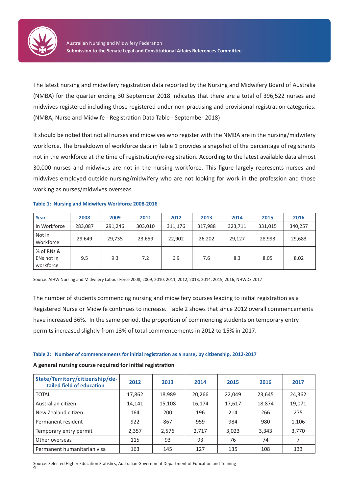

The latest nursing and midwifery registration data reported by the Nursing and Midwifery Board of Australia (NMBA) for the quarter ending 30 September 2018 indicates that there are a total of 396,522 nurses and midwives registered including those registered under non-practising and provisional registration categories. (NMBA, Nurse and Midwife - Registration Data Table - September 2018)

It should be noted that not all nurses and midwives who register with the NMBA are in the nursing/midwifery workforce. The breakdown of workforce data in Table 1 provides a snapshot of the percentage of registrants not in the workforce at the time of registration/re-registration. According to the latest available data almost 30,000 nurses and midwives are not in the nursing workforce. This figure largely represents nurses and midwives employed outside nursing/midwifery who are not looking for work in the profession and those working as nurses/midwives overseas.

#### **Table 1: Nursing and Midwifery Workforce 2008-2016**

| Year                                  | 2008    | 2009    | 2011    | 2012    | 2013    | 2014    | 2015    | 2016    |
|---------------------------------------|---------|---------|---------|---------|---------|---------|---------|---------|
| In Workforce                          | 283,087 | 291,246 | 303,010 | 311,176 | 317,988 | 323,711 | 331,015 | 340,257 |
| Not in<br>Workforce                   | 29,649  | 29,735  | 23,659  | 22,902  | 26,202  | 29,127  | 28,993  | 29,683  |
| % of RNs &<br>ENs not in<br>workforce | 9.5     | 9.3     | 7.2     | 6.9     | 7.6     | 8.3     | 8.05    | 8.02    |

Source: AIHW Nursing and Midwifery Labour Force 2008, 2009, 2010, 2011, 2012, 2013, 2014, 2015, 2016, NHWDS 2017

The number of students commencing nursing and midwifery courses leading to initial registration as a Registered Nurse or Midwife continues to increase. Table 2 shows that since 2012 overall commencements have increased 36%. In the same period, the proportion of commencing students on temporary entry permits increased slightly from 13% of total commencements in 2012 to 15% in 2017.

#### **Table 2: Number of commencements for initial registration as a nurse, by citizenship, 2012-2017**

#### **A general nursing course required for initial registration**

| State/Territory/citizenship/de-<br>tailed field of education | 2012   | 2013   | 2014   | 2015   | 2016   | 2017   |
|--------------------------------------------------------------|--------|--------|--------|--------|--------|--------|
| <b>TOTAL</b>                                                 | 17,862 | 18,989 | 20,266 | 22,049 | 23,645 | 24,362 |
| Australian citizen                                           | 14,141 | 15,108 | 16,174 | 17,617 | 18,874 | 19,071 |
| New Zealand citizen                                          | 164    | 200    | 196    | 214    | 266    | 275    |
| Permanent resident                                           | 922    | 867    | 959    | 984    | 980    | 1,106  |
| Temporary entry permit                                       | 2,357  | 2.576  | 2,717  | 3.023  | 3,343  | 3,770  |
| Other overseas                                               | 115    | 93     | 93     | 76     | 74     |        |
| Permanent humanitarian visa                                  | 163    | 145    | 127    | 135    | 108    | 133    |

**4** Source: Selected Higher Education Statistics, Australian Government Department of Education and Training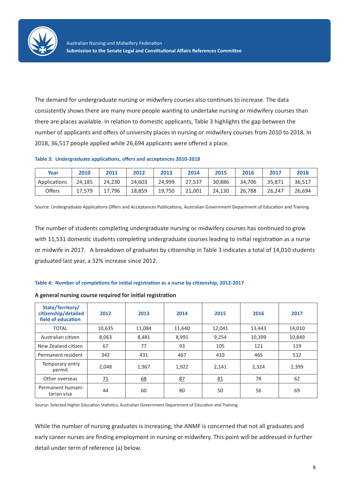

The demand for undergraduate nursing or midwifery courses also continues to increase. The data consistently shows there are many more people wanting to undertake nursing or midwifery courses than there are places available. In relation to domestic applicants, Table 3 highlights the gap between the number of applicants and offers of university places in nursing or midwifery courses from 2010 to 2018. In 2018, 36,517 people applied while 26,694 applicants were offered a place.

#### **Table 3: Undergraduate applications, offers and acceptances 2010-2018**

| Year         | 2010   | 2011   | 2012   | 2013   | 2014   | 2015   | 2016   | 2017   | 2018   |
|--------------|--------|--------|--------|--------|--------|--------|--------|--------|--------|
| Applications | 24.185 | 24,230 | 24,603 | 24,999 | 27,537 | 30,886 | 34.706 | 35,871 | 36,517 |
| Offers       | 17,579 | 17.796 | 18,859 | 19,750 | 21,001 | 24.130 | 26,788 | 26,247 | 26,694 |

Source: Undergraduate Applications Offers and Acceptances Publications, Australian Government Department of Education and Training

The number of students completing undergraduate nursing or midwifery courses has continued to grow with 11,531 domestic students completing undergraduate courses leading to initial registration as a nurse or midwife in 2017. A breakdown of graduates by citizenship in Table 3 indicates a total of 14,010 students graduated last year, a 32% increase since 2012.

#### **Table 4: Number of completions for initial registration as a nurse by citizenship, 2012-2017**

#### **A general nursing course required for initial registration**

| State/Territory/<br>citizenship/detailed<br>field of education | 2012            | 2013   | 2014   | 2015   | 2016   | 2017   |
|----------------------------------------------------------------|-----------------|--------|--------|--------|--------|--------|
| <b>TOTAL</b>                                                   | 10,635          | 11,084 | 11,640 | 12,041 | 13,443 | 14,010 |
| Australian citizen                                             | 8,063           | 8,481  | 8,991  | 9,254  | 10,399 | 10,849 |
| New Zealand citizen                                            | 67              | 77     | 93     | 105    | 121    | 119    |
| Permanent resident                                             | 342             | 431    | 467    | 410    | 465    | 512    |
| Temporary entry<br>permit                                      | 2,048           | 1,967  | 1,922  | 2,141  | 2,324  | 2,399  |
| Other overseas                                                 | $\overline{11}$ | 68     | 87     | 81     | 78     | 62     |
| Permanent humani-<br>tarian visa                               | 44              | 60     | 80     | 50     | 56     | 69     |

Source: Selected Higher Education Statistics, Australian Government Department of Education and Training

While the number of nursing graduates is increasing, the ANMF is concerned that not all graduates and early career nurses are finding employment in nursing or midwifery. This point will be addressed in further detail under term of reference (a) below.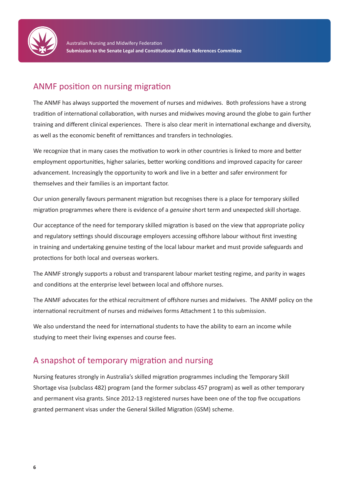

### ANMF position on nursing migration

The ANMF has always supported the movement of nurses and midwives. Both professions have a strong tradition of international collaboration, with nurses and midwives moving around the globe to gain further training and different clinical experiences. There is also clear merit in international exchange and diversity, as well as the economic benefit of remittances and transfers in technologies.

We recognize that in many cases the motivation to work in other countries is linked to more and better employment opportunities, higher salaries, better working conditions and improved capacity for career advancement. Increasingly the opportunity to work and live in a better and safer environment for themselves and their families is an important factor.

Our union generally favours permanent migration but recognises there is a place for temporary skilled migration programmes where there is evidence of a *genuine* short term and unexpected skill shortage.

Our acceptance of the need for temporary skilled migration is based on the view that appropriate policy and regulatory settings should discourage employers accessing offshore labour without first investing in training and undertaking genuine testing of the local labour market and must provide safeguards and protections for both local and overseas workers.

The ANMF strongly supports a robust and transparent labour market testing regime, and parity in wages and conditions at the enterprise level between local and offshore nurses.

The ANMF advocates for the ethical recruitment of offshore nurses and midwives. The ANMF policy on the international recruitment of nurses and midwives forms Attachment 1 to this submission.

We also understand the need for international students to have the ability to earn an income while studying to meet their living expenses and course fees.

### A snapshot of temporary migration and nursing

Nursing features strongly in Australia's skilled migration programmes including the Temporary Skill Shortage visa (subclass 482) program (and the former subclass 457 program) as well as other temporary and permanent visa grants. Since 2012-13 registered nurses have been one of the top five occupations granted permanent visas under the General Skilled Migration (GSM) scheme.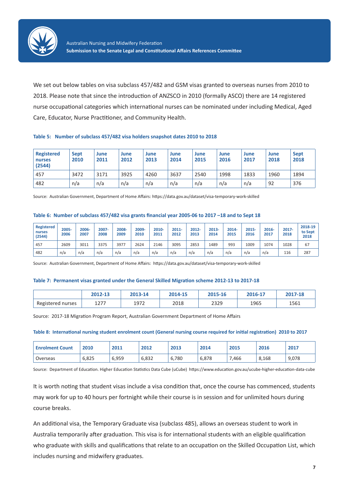

We set out below tables on visa subclass 457/482 and GSM visas granted to overseas nurses from 2010 to 2018. Please note that since the introduction of ANZSCO in 2010 (formally ASCO) there are 14 registered nurse occupational categories which international nurses can be nominated under including Medical, Aged Care, Educator, Nurse Practitioner, and Community Health.

#### **Table 5: Number of subclass 457/482 visa holders snapshot dates 2010 to 2018**

| <b>Registered</b><br>nurses<br>(2544) | <b>Sept</b><br>2010 | June<br>2011 | June<br>2012 | June<br>2013 | June<br>2014 | June<br>2015 | June<br>2016 | June<br>2017 | June<br>2018 | <b>Sept</b><br>2018 |
|---------------------------------------|---------------------|--------------|--------------|--------------|--------------|--------------|--------------|--------------|--------------|---------------------|
| 457                                   | 3472                | 3171         | 3925         | 4260         | 3637         | 2540         | 1998         | 1833         | 1960         | 1894                |
| 482                                   | n/a                 | n/a          | n/a          | n/a          | n/a          | n/a          | n/a          | n/a          | 92           | 376                 |

Source: Australian Government, Department of Home Affairs: https://data.gov.au/dataset/visa-temporary-work-skilled

#### **Table 6: Number of subclass 457/482 visa grants financial year 2005-06 to 2017 –18 and to Sept 18**

| <b>Registered</b><br>nurses<br>(2544) | 2005-<br>2006 | 2006-<br>2007 | $2007 -$<br>2008 | 2008-<br>2009 | 2009-<br>2010 | 2010-<br>2011 | $2011 -$<br>2012 | 2012-<br>2013 | 2013-<br>2014 | 2014-<br>2015 | 2015-<br>2016 | $2016 -$<br>2017 | 2017-<br>2018 | 2018-19<br>to Sept<br>2018 |
|---------------------------------------|---------------|---------------|------------------|---------------|---------------|---------------|------------------|---------------|---------------|---------------|---------------|------------------|---------------|----------------------------|
| 457                                   | 2609          | 3011          | 3375             | 3977          | 2624          | 2146          | 3095             | 2853          | 1489          | 993           | 1009          | 1074             | 1028          | 67                         |
| 482                                   | n/a           | n/a           | n/a              | n/a           | n/a           | n/a           | n/a              | n/a           | n/a           | n/a           | n/a           | n/a              | 116           | 287                        |

Source: Australian Government, Department of Home Affairs: https://data.gov.au/dataset/visa-temporary-work-skilled

#### **Table 7: Permanent visas granted under the General Skilled Migration scheme 2012-13 to 2017-18**

|                   |                   |      | 2014-15 |      | 2016-17 | 2017-18 |
|-------------------|-------------------|------|---------|------|---------|---------|
| Registered nurses | $127 -$<br>14 I I | 1972 | 2018    | 2329 | 1965    | 1561    |

Source: 2017-18 Migration Program Report, Australian Government Department of Home Affairs

#### **Table 8: International nursing student enrolment count (General nursing course required for initial registration) 2010 to 2017**

| <b>Enrolment Count</b> | 2010  | 2011  | 2012  | 2013  | 2014  | 2015 | 2016  | 2017  |
|------------------------|-------|-------|-------|-------|-------|------|-------|-------|
| Overseas               | 6.825 | 6,959 | 6,832 | 6.780 | 6,878 | ,466 | 8,168 | 9,078 |

Source: Department of Education. Higher Education Statistics Data Cube (uCube) https://www.education.gov.au/ucube-higher-education-data-cube

It is worth noting that student visas include a visa condition that, once the course has commenced, students may work for up to 40 hours per fortnight while their course is in session and for unlimited hours during course breaks.

An additional visa, the Temporary Graduate visa (subclass 485), allows an overseas student to work in Australia temporarily after graduation. This visa is for international students with an eligible qualification who graduate with skills and qualifications that relate to an occupation on the Skilled Occupation List, which includes nursing and midwifery graduates.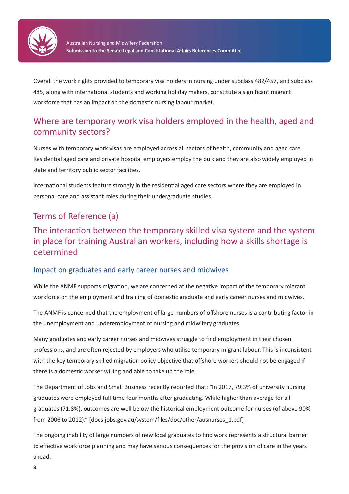

Overall the work rights provided to temporary visa holders in nursing under subclass 482/457, and subclass 485, along with international students and working holiday makers, constitute a significant migrant workforce that has an impact on the domestic nursing labour market.

### Where are temporary work visa holders employed in the health, aged and community sectors?

Nurses with temporary work visas are employed across all sectors of health, community and aged care. Residential aged care and private hospital employers employ the bulk and they are also widely employed in state and territory public sector facilities.

International students feature strongly in the residential aged care sectors where they are employed in personal care and assistant roles during their undergraduate studies.

### Terms of Reference (a)

### The interaction between the temporary skilled visa system and the system in place for training Australian workers, including how a skills shortage is determined

### Impact on graduates and early career nurses and midwives

While the ANMF supports migration, we are concerned at the negative impact of the temporary migrant workforce on the employment and training of domestic graduate and early career nurses and midwives.

The ANMF is concerned that the employment of large numbers of offshore nurses is a contributing factor in the unemployment and underemployment of nursing and midwifery graduates.

Many graduates and early career nurses and midwives struggle to find employment in their chosen professions, and are often rejected by employers who utilise temporary migrant labour. This is inconsistent with the key temporary skilled migration policy objective that offshore workers should not be engaged if there is a domestic worker willing and able to take up the role.

The Department of Jobs and Small Business recently reported that: "In 2017, 79.3% of university nursing graduates were employed full-time four months after graduating. While higher than average for all graduates (71.8%), outcomes are well below the historical employment outcome for nurses (of above 90% from 2006 to 2012)." [docs.jobs.gov.au/system/files/doc/other/ausnurses\_1.pdf]

The ongoing inability of large numbers of new local graduates to find work represents a structural barrier to effective workforce planning and may have serious consequences for the provision of care in the years ahead.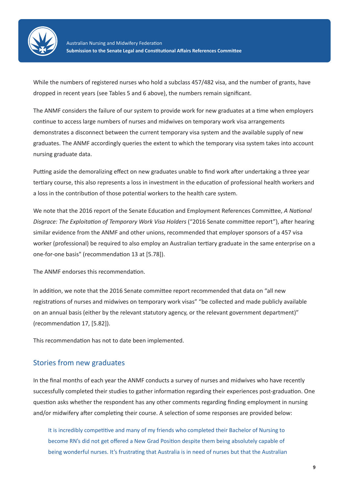

While the numbers of registered nurses who hold a subclass 457/482 visa, and the number of grants, have dropped in recent years (see Tables 5 and 6 above), the numbers remain significant.

The ANMF considers the failure of our system to provide work for new graduates at a time when employers continue to access large numbers of nurses and midwives on temporary work visa arrangements demonstrates a disconnect between the current temporary visa system and the available supply of new graduates. The ANMF accordingly queries the extent to which the temporary visa system takes into account nursing graduate data.

Putting aside the demoralizing effect on new graduates unable to find work after undertaking a three year tertiary course, this also represents a loss in investment in the education of professional health workers and a loss in the contribution of those potential workers to the health care system.

We note that the 2016 report of the Senate Education and Employment References Committee, *A National Disgrace: The Exploitation of Temporary Work Visa Holders* ("2016 Senate committee report"), after hearing similar evidence from the ANMF and other unions, recommended that employer sponsors of a 457 visa worker (professional) be required to also employ an Australian tertiary graduate in the same enterprise on a one-for-one basis" (recommendation 13 at [5.78]).

The ANMF endorses this recommendation.

In addition, we note that the 2016 Senate committee report recommended that data on "all new registrations of nurses and midwives on temporary work visas" "be collected and made publicly available on an annual basis (either by the relevant statutory agency, or the relevant government department)" (recommendation 17, [5.82]).

This recommendation has not to date been implemented.

#### Stories from new graduates

In the final months of each year the ANMF conducts a survey of nurses and midwives who have recently successfully completed their studies to gather information regarding their experiences post-graduation. One question asks whether the respondent has any other comments regarding finding employment in nursing and/or midwifery after completing their course. A selection of some responses are provided below:

It is incredibly competitive and many of my friends who completed their Bachelor of Nursing to become RN's did not get offered a New Grad Position despite them being absolutely capable of being wonderful nurses. It's frustrating that Australia is in need of nurses but that the Australian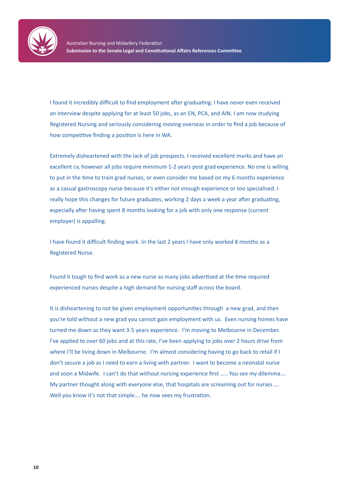

I found it incredibly difficult to find employment after graduating. I have never even received an interview despite applying for at least 50 jobs, as an EN, PCA, and AIN. I am now studying Registered Nursing and seriously considering moving overseas in order to find a job because of how competitive finding a position is here in WA.

Extremely disheartened with the lack of job prospects. I received excellent marks and have an excellent cv, however all jobs require minimum 1-2 years post grad experience. No one is willing to put in the time to train grad nurses, or even consider me based on my 6 months experience as a casual gastroscopy nurse because it's either not enough experience or too specialised. I really hope this changes for future graduates, working 2 days a week a year after graduating, especially after having spent 8 months looking for a job with only one response (current employer) is appalling.

I have found it difficult finding work. In the last 2 years I have only worked 8 months as a Registered Nurse.

Found it tough to find work as a new nurse as many jobs advertised at the time required experienced nurses despite a high demand for nursing staff across the board.

It is disheartening to not be given employment opportunities through a new grad, and then you're told without a new grad you cannot gain employment with us. Even nursing homes have turned me down as they want 3-5 years experience. I'm moving to Melbourne in December. I've applied to over 60 jobs and at this rate, I've been applying to jobs over 2 hours drive from where I'll be living down in Melbourne. I'm almost considering having to go back to retail if I don't secure a job as I need to earn a living with partner. I want to become a neonatal nurse and soon a Midwife. I can't do that without nursing experience first ….. You see my dilemma…. My partner thought along with everyone else, that hospitals are screaming out for nurses …. Well you know it's not that simple.... he now sees my frustration.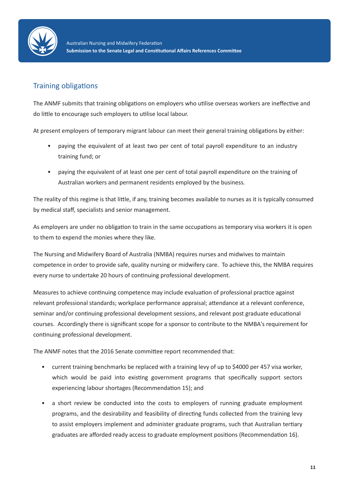

### Training obligations

The ANMF submits that training obligations on employers who utilise overseas workers are ineffective and do little to encourage such employers to utilise local labour.

At present employers of temporary migrant labour can meet their general training obligations by either:

- paying the equivalent of at least two per cent of total payroll expenditure to an industry training fund; or
- paying the equivalent of at least one per cent of total payroll expenditure on the training of Australian workers and permanent residents employed by the business.

The reality of this regime is that little, if any, training becomes available to nurses as it is typically consumed by medical staff, specialists and senior management.

As employers are under no obligation to train in the same occupations as temporary visa workers it is open to them to expend the monies where they like.

The Nursing and Midwifery Board of Australia (NMBA) requires nurses and midwives to maintain competence in order to provide safe, quality nursing or midwifery care. To achieve this, the NMBA requires every nurse to undertake 20 hours of continuing professional development.

Measures to achieve continuing competence may include evaluation of professional practice against relevant professional standards; workplace performance appraisal; attendance at a relevant conference, seminar and/or continuing professional development sessions, and relevant post graduate educational courses. Accordingly there is significant scope for a sponsor to contribute to the NMBA's requirement for continuing professional development.

The ANMF notes that the 2016 Senate committee report recommended that:

- current training benchmarks be replaced with a training levy of up to \$4000 per 457 visa worker, which would be paid into existing government programs that specifically support sectors experiencing labour shortages (Recommendation 15); and
- a short review be conducted into the costs to employers of running graduate employment programs, and the desirability and feasibility of directing funds collected from the training levy to assist employers implement and administer graduate programs, such that Australian tertiary graduates are afforded ready access to graduate employment positions (Recommendation 16).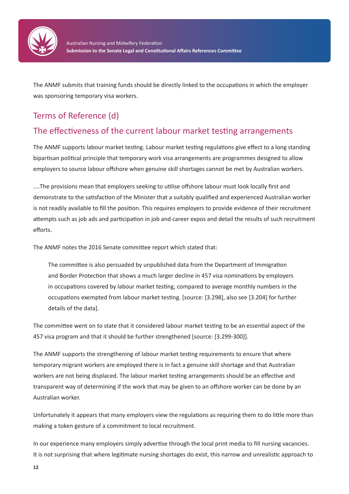

The ANMF submits that training funds should be directly linked to the occupations in which the employer was sponsoring temporary visa workers.

# Terms of Reference (d)

### The effectiveness of the current labour market testing arrangements

The ANMF supports labour market testing. Labour market testing regulations give effect to a long standing bipartisan political principle that temporary work visa arrangements are programmes designed to allow employers to source labour offshore when genuine skill shortages cannot be met by Australian workers.

....The provisions mean that employers seeking to utilise offshore labour must look locally first and demonstrate to the satisfaction of the Minister that a suitably qualified and experienced Australian worker is not readily available to fill the position. This requires employers to provide evidence of their recruitment attempts such as job ads and participation in job and career expos and detail the results of such recruitment efforts.

The ANMF notes the 2016 Senate committee report which stated that:

The committee is also persuaded by unpublished data from the Department of Immigration and Border Protection that shows a much larger decline in 457 visa nominations by employers in occupations covered by labour market testing, compared to average monthly numbers in the occupations exempted from labour market testing. [source: [3.298], also see [3.204] for further details of the data].

The committee went on to state that it considered labour market testing to be an essential aspect of the 457 visa program and that it should be further strengthened [source: [3.299-300]].

The ANMF supports the strengthening of labour market testing requirements to ensure that where temporary migrant workers are employed there is in fact a genuine skill shortage and that Australian workers are not being displaced. The labour market testing arrangements should be an effective and transparent way of determining if the work that may be given to an offshore worker can be done by an Australian worker.

Unfortunately it appears that many employers view the regulations as requiring them to do little more than making a token gesture of a commitment to local recruitment.

In our experience many employers simply advertise through the local print media to fill nursing vacancies. It is not surprising that where legitimate nursing shortages do exist, this narrow and unrealistic approach to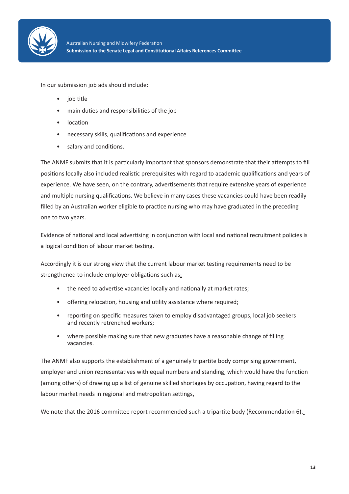

In our submission job ads should include:

- job title
- main duties and responsibilities of the job
- location
- necessary skills, qualifications and experience
- salary and conditions.

The ANMF submits that it is particularly important that sponsors demonstrate that their attempts to fill positions locally also included realistic prerequisites with regard to academic qualifications and years of experience. We have seen, on the contrary, advertisements that require extensive years of experience and multiple nursing qualifications. We believe in many cases these vacancies could have been readily filled by an Australian worker eligible to practice nursing who may have graduated in the preceding one to two years.

Evidence of national and local advertising in conjunction with local and national recruitment policies is a logical condition of labour market testing.

Accordingly it is our strong view that the current labour market testing requirements need to be strengthened to include employer obligations such as:

- the need to advertise vacancies locally and nationally at market rates;
- offering relocation, housing and utility assistance where required;
- reporting on specific measures taken to employ disadvantaged groups, local job seekers and recently retrenched workers;
- where possible making sure that new graduates have a reasonable change of filling vacancies.

The ANMF also supports the establishment of a genuinely tripartite body comprising government, employer and union representatives with equal numbers and standing, which would have the function (among others) of drawing up a list of genuine skilled shortages by occupation, having regard to the labour market needs in regional and metropolitan settings.

We note that the 2016 committee report recommended such a tripartite body (Recommendation 6).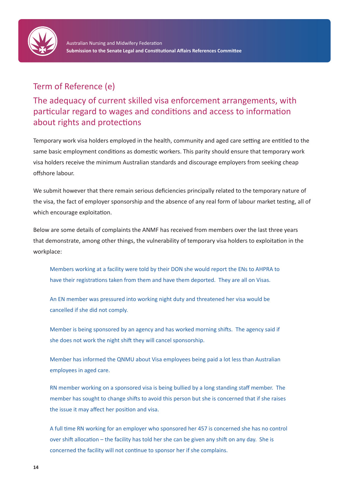

### Term of Reference (e)

The adequacy of current skilled visa enforcement arrangements, with particular regard to wages and conditions and access to information about rights and protections

Temporary work visa holders employed in the health, community and aged care setting are entitled to the same basic employment conditions as domestic workers. This parity should ensure that temporary work visa holders receive the minimum Australian standards and discourage employers from seeking cheap offshore labour.

We submit however that there remain serious deficiencies principally related to the temporary nature of the visa, the fact of employer sponsorship and the absence of any real form of labour market testing, all of which encourage exploitation.

Below are some details of complaints the ANMF has received from members over the last three years that demonstrate, among other things, the vulnerability of temporary visa holders to exploitation in the workplace:

Members working at a facility were told by their DON she would report the ENs to AHPRA to have their registrations taken from them and have them deported. They are all on Visas.

An EN member was pressured into working night duty and threatened her visa would be cancelled if she did not comply.

Member is being sponsored by an agency and has worked morning shifts. The agency said if she does not work the night shift they will cancel sponsorship.

Member has informed the QNMU about Visa employees being paid a lot less than Australian employees in aged care.

RN member working on a sponsored visa is being bullied by a long standing staff member. The member has sought to change shifts to avoid this person but she is concerned that if she raises the issue it may affect her position and visa.

A full time RN working for an employer who sponsored her 457 is concerned she has no control over shift allocation – the facility has told her she can be given any shift on any day. She is concerned the facility will not continue to sponsor her if she complains.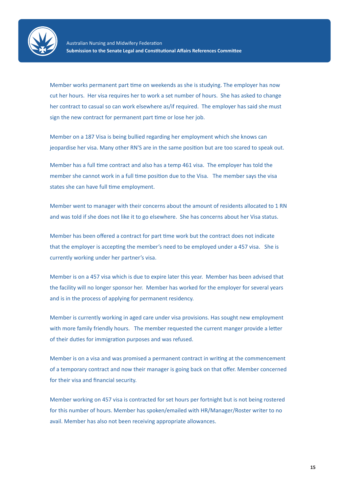

Member works permanent part time on weekends as she is studying. The employer has now cut her hours. Her visa requires her to work a set number of hours. She has asked to change her contract to casual so can work elsewhere as/if required. The employer has said she must sign the new contract for permanent part time or lose her job.

Member on a 187 Visa is being bullied regarding her employment which she knows can jeopardise her visa. Many other RN'S are in the same position but are too scared to speak out.

Member has a full time contract and also has a temp 461 visa. The employer has told the member she cannot work in a full time position due to the Visa. The member says the visa states she can have full time employment.

Member went to manager with their concerns about the amount of residents allocated to 1 RN and was told if she does not like it to go elsewhere. She has concerns about her Visa status.

Member has been offered a contract for part time work but the contract does not indicate that the employer is accepting the member's need to be employed under a 457 visa. She is currently working under her partner's visa.

Member is on a 457 visa which is due to expire later this year. Member has been advised that the facility will no longer sponsor her. Member has worked for the employer for several years and is in the process of applying for permanent residency.

Member is currently working in aged care under visa provisions. Has sought new employment with more family friendly hours. The member requested the current manger provide a letter of their duties for immigration purposes and was refused.

Member is on a visa and was promised a permanent contract in writing at the commencement of a temporary contract and now their manager is going back on that offer. Member concerned for their visa and financial security.

Member working on 457 visa is contracted for set hours per fortnight but is not being rostered for this number of hours. Member has spoken/emailed with HR/Manager/Roster writer to no avail. Member has also not been receiving appropriate allowances.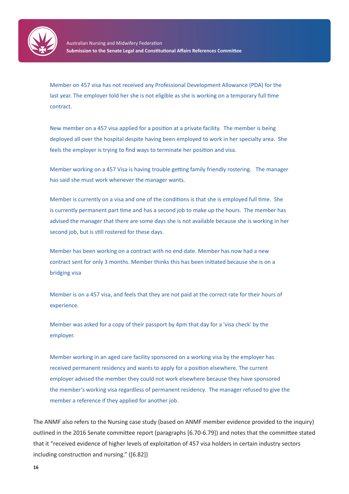

Member on 457 visa has not received any Professional Development Allowance (PDA) for the last year. The employer told her she is not eligible as she is working on a temporary full time contract.

New member on a 457 visa applied for a position at a private facility. The member is being deployed all over the hospital despite having been employed to work in her specialty area. She feels the employer is trying to find ways to terminate her position and visa.

Member working on a 457 Visa is having trouble getting family friendly rostering. The manager has said she must work whenever the manager wants.

Member is currently on a visa and one of the conditions is that she is employed full time. She is currently permanent part time and has a second job to make up the hours. The member has advised the manager that there are some days she is not available because she is working in her second job, but is still rostered for these days.

Member has been working on a contract with no end date. Member has now had a new contract sent for only 3 months. Member thinks this has been initiated because she is on a bridging visa

Member is on a 457 visa, and feels that they are not paid at the correct rate for their hours of experience.

Member was asked for a copy of their passport by 4pm that day for a 'visa check' by the employer.

Member working in an aged care facility sponsored on a working visa by the employer has received permanent residency and wants to apply for a position elsewhere. The current employer advised the member they could not work elsewhere because they have sponsored the member's working visa regardless of permanent residency. The manager refused to give the member a reference if they applied for another job.

The ANMF also refers to the Nursing case study (based on ANMF member evidence provided to the inquiry) outlined in the 2016 Senate committee report (paragraphs [6.70-6.79]) and notes that the committee stated that it "received evidence of higher levels of exploitation of 457 visa holders in certain industry sectors including construction and nursing." ([6.82])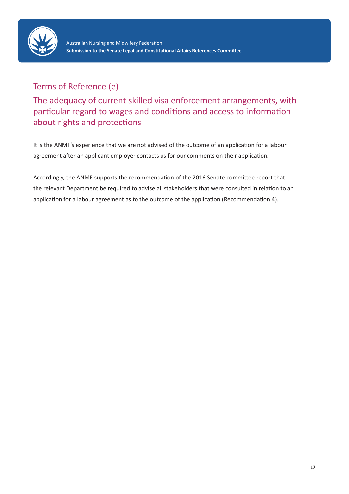

## Terms of Reference (e)

The adequacy of current skilled visa enforcement arrangements, with particular regard to wages and conditions and access to information about rights and protections

It is the ANMF's experience that we are not advised of the outcome of an application for a labour agreement after an applicant employer contacts us for our comments on their application.

Accordingly, the ANMF supports the recommendation of the 2016 Senate committee report that the relevant Department be required to advise all stakeholders that were consulted in relation to an application for a labour agreement as to the outcome of the application (Recommendation 4).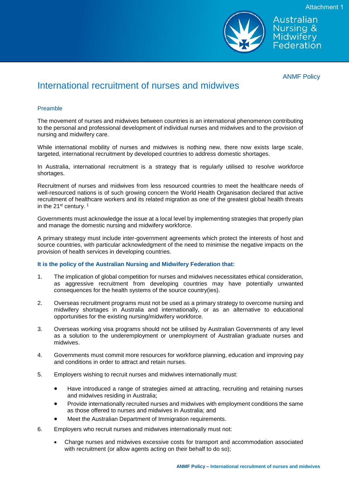

ANMF Policy

Australian Nursing & Midwifery Federation

## International recruitment of nurses and midwives

#### Preamble

The movement of nurses and midwives between countries is an international phenomenon contributing to the personal and professional development of individual nurses and midwives and to the provision of nursing and midwifery care.

While international mobility of nurses and midwives is nothing new, there now exists large scale, targeted, international recruitment by developed countries to address domestic shortages.

In Australia, international recruitment is a strategy that is regularly utilised to resolve workforce shortages.

Recruitment of nurses and midwives from less resourced countries to meet the healthcare needs of well-resourced nations is of such growing concern the World Health Organisation declared that active recruitment of healthcare workers and its related migration as one of the greatest global health threats in the 21<sup>st</sup> century.<sup>1</sup>

Governments must acknowledge the issue at a local level by implementing strategies that properly plan and manage the domestic nursing and midwifery workforce.

A primary strategy must include inter-government agreements which protect the interests of host and source countries, with particular acknowledgment of the need to minimise the negative impacts on the provision of health services in developing countries.

#### **It is the policy of the Australian Nursing and Midwifery Federation that:**

- 1. The implication of global competition for nurses and midwives necessitates ethical consideration, as aggressive recruitment from developing countries may have potentially unwanted consequences for the health systems of the source country(ies).
- 2. Overseas recruitment programs must not be used as a primary strategy to overcome nursing and midwifery shortages in Australia and internationally, or as an alternative to educational opportunities for the existing nursing/midwifery workforce.
- 3. Overseas working visa programs should not be utilised by Australian Governments of any level as a solution to the underemployment or unemployment of Australian graduate nurses and midwives.
- 4. Governments must commit more resources for workforce planning, education and improving pay and conditions in order to attract and retain nurses.
- 5. Employers wishing to recruit nurses and midwives internationally must:
	- Have introduced a range of strategies aimed at attracting, recruiting and retaining nurses and midwives residing in Australia;
	- Provide internationally recruited nurses and midwives with employment conditions the same as those offered to nurses and midwives in Australia; and
	- Meet the Australian Department of Immigration requirements.
- 6. Employers who recruit nurses and midwives internationally must not:
	- Charge nurses and midwives excessive costs for transport and accommodation associated with recruitment (or allow agents acting on their behalf to do so);